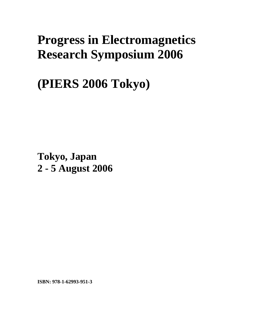# **Progress in Electromagnetics Research Symposium 2006**

**(PIERS 2006 Tokyo)** 

**Tokyo, Japan 2 - 5 August 2006**

**ISBN: 978-1-62993-951-3**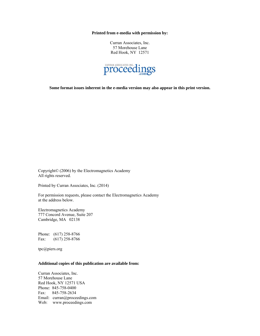**Printed from e-media with permission by:** 

Curran Associates, Inc. 57 Morehouse Lane Red Hook, NY 12571



**Some format issues inherent in the e-media version may also appear in this print version.** 

Copyright© (2006) by the Electromagnetics Academy All rights reserved.

Printed by Curran Associates, Inc. (2014)

For permission requests, please contact the Electromagnetics Academy at the address below.

Electromagnetics Academy 777 Concord Avenue, Suite 207 Cambridge, MA 02138

Phone: (617) 258-8766 Fax: (617) 258-8766

tpc@piers.org

# **Additional copies of this publication are available from:**

Curran Associates, Inc. 57 Morehouse Lane Red Hook, NY 12571 USA Phone: 845-758-0400 Fax: 845-758-2634 Email: curran@proceedings.com Web: www.proceedings.com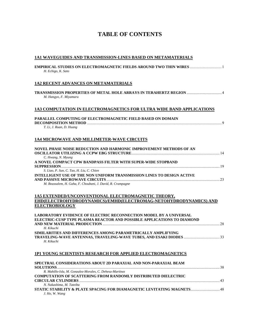# **TABLE OF CONTENTS**

| 1A1 WAVEGUIDES AND TRANSMISSION-LINES BASED ON METAMATERIALS                                                                                                                             |
|------------------------------------------------------------------------------------------------------------------------------------------------------------------------------------------|
| H. Echigo, K. Sato                                                                                                                                                                       |
| <b>1A2 RECENT ADVANCES ON METAMATERIALS</b>                                                                                                                                              |
| TRANSMISSION PROPERTIES OF METAL HOLE ARRAYS IN TERAHERTZ REGION  4<br>M. Hangyo, F. Miyamaru                                                                                            |
| 1A3 COMPUTATION IN ELECTROMAGNETICS FOR ULTRA WIDE BAND APPLICATIONS                                                                                                                     |
| <b>PARALLEL COMPUTING OF ELECTROMAGNETIC FIELD BASED ON DOMAIN</b><br>T. Li, J. Ruan, D. Huang                                                                                           |
| 1A4 MICROWAVE AND MILLIMETER-WAVE CIRCUITS                                                                                                                                               |
| NOVEL PHASE NOISE REDUCTION AND HARMONIC IMPROVEMENT METHODS OF AN<br>C. Hwang, N. Myung                                                                                                 |
| A NOVEL COMPACT CPW BANDPASS FILTER WITH SUPER-WIDE STOPBAND                                                                                                                             |
| S. Liao, P. Sun, C. Tao, H. Liu, C. Chien<br><b>INTELLIGENT USE OF THE NON UNIFORM TRANSMISSION LINES TO DESIGN ACTIVE</b><br>M. Boussalem, H. Gaha, F. Choubani, J. David, R. Crampagne |
| 1A5 EXTENDED/UNCONVENTIONAL ELECTROMAGNETIC THEORY,                                                                                                                                      |
| EHD(ELECTROHYDRODYNAMICS)/EMHD(ELECTROMAG-NETOHYDRODYNAMICS) AND<br><b>ELECTROBIOLOGY</b>                                                                                                |
| <b>LABORATORY EVIDENCE OF ELECTRIC RECONNECTION MODEL BY A UNIVERSAL</b><br>ELECTRIC-CUSP TYPE PLASMA REACTOR AND POSSIBLE APPLICATIONS TO DIAMOND<br>H. Kikuchi                         |
| SIMILARITIES AND DIFFERENCES AMONG PARAMETRICALLY AMPLIFYING<br>H. Kikuchi                                                                                                               |
| <b>1P1 YOUNG SCIENTISTS RESEARCH FOR APPLIED ELECTROMAGNETICS</b>                                                                                                                        |
| SPECTRAL CONSIDERATIONS ABOUT 2D PARAXIAL AND NON-PARAXIAL BEAM                                                                                                                          |
| R. Mahillo-Isla, M. Gonzalez-Morales, C. Dehesa-Martinez<br><b>COMPUTATION OF SCATTERING FROM RANDOMLY DISTRIBUTED DIELECTRIC</b>                                                        |
| N. Nakashima, M. Tateiba<br>STATIC STABILITY & PLATE SPACING FOR DIAMAGNETIC LEVITATING MAGNETS 48<br>J. Ho, W. Wang                                                                     |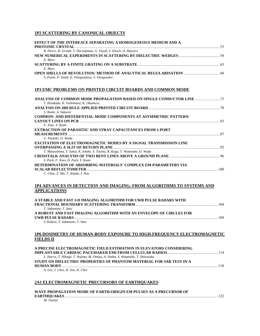# **1P2 SCATTERING BY CANONICAL OBJECTS**

| <b>EFFECT OF THE INTERFACE SEPARATING A HOMOGENEOUS MEDIUM AND A</b> |  |
|----------------------------------------------------------------------|--|
| R. Pierre, B. Gralak, T. Decoopman, G. Tayeb, S. Enoch, D. Maystre   |  |
|                                                                      |  |
| E. Marx                                                              |  |
|                                                                      |  |
| E. Marx                                                              |  |
|                                                                      |  |
| S. Panin, P. Smith, E. Vinogradova, S. Vinogradov                    |  |

#### **1P3 EMC PROBLEMS ON PRINTED CIRCUIT BOARDS AND COMMON MODE**

| T. Hisakado, K. Yoshimura, K. Okumura                                        |     |
|------------------------------------------------------------------------------|-----|
|                                                                              |     |
| S. Ikami, A. Sakurai                                                         |     |
| <b>COMMON- AND DIFFERENTIAL-MODE COMPONENTS AT ASYMMETRIC PATTERN-</b>       |     |
|                                                                              |     |
| F. Xiao, Y. Kami                                                             |     |
| <b>EXTRACTION OF PARASITIC AND STRAY CAPACITANCES FROM 1-PORT</b>            |     |
|                                                                              |     |
| U. Paoletti, O. Wada                                                         |     |
| <b>EXCITATION OF ELECTROMAGNETIC MODES BY A SIGNAL TRANSMISSION LINE</b>     |     |
|                                                                              |     |
| T. Matsushima, Y. Sakai, K. Iokibe, Y. Toyota, R. Koga, T. Watanabe, O. Wada |     |
|                                                                              |     |
| S. Park, F. Xiao, D. Park, Y. Kami                                           |     |
| DETERMINATION OF ABSORBING MATERIALS' COMPLEX EM-PARAMETERS VIA              |     |
|                                                                              | 100 |
| C. Chen, Z. Ma, T. Anada, J. Hsu                                             |     |

# **1P4 ADVANCES IN DETECTION AND IMAGING: FROM ALGORITHMS TO SYSTEMS AND APPLICATIONS**

| A STABLE AND FAST 3-D IMAGING ALGORITHM FOR UWB PULSE RADARS WITH   |     |
|---------------------------------------------------------------------|-----|
|                                                                     | 104 |
| T. Sakamoto, T. Sato                                                |     |
| A ROBUST AND FAST IMAGING ALGORITHM WITH AN ENVELOPE OF CIRCLES FOR |     |
|                                                                     | 109 |
| S. Kidera. T. Sakamoto. T. Sato                                     |     |

# **1P6 DOSIMETRY OF HUMAN-BODY EXPOSURE TO HIGH-FREQUENCY ELECTROMAGNETIC FIELDS II**

| A PRECISE ELECTROMAGNETIC FIELD ESTIMATION IN ELEVATORS CONSIDERING            |  |
|--------------------------------------------------------------------------------|--|
|                                                                                |  |
| L. Harris, T. Hikage, T. Nojima, M. Omiya, A. Simba, S. Watanabe, T. Shinozuka |  |
| STUDY ON DIELECTRIC PROPERTIES OF PHANTOM MATERIAL FOR SAR TEST IN A           |  |
| <b>HUMAN BODY</b> 218                                                          |  |
| A. Lee, J. Choi, D. Sim, H. Choi                                               |  |

# **2A1 ELECTROMAGNETIC PRECURSORS OF EARTHQUAKES**

| WAVE PROPAGATION MODE OF EARTH-ORIGIN EM PULSES AS A PRECURSOR OF |     |
|-------------------------------------------------------------------|-----|
|                                                                   | 122 |
| M. Tsutsui                                                        |     |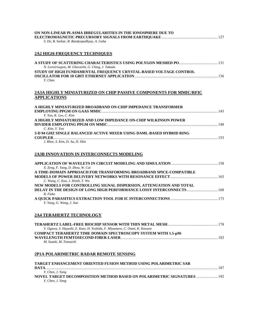| ON NON-LINEAR PLASMA IRREGULARITIES IN THE IONOSPHERE DUE TO<br>S. De, B. Sarkar, B. Bandyopadhyay, A. Guha                                             |  |
|---------------------------------------------------------------------------------------------------------------------------------------------------------|--|
| <b>2A2 HIGH-FREOUENCY TECHNIOUES</b>                                                                                                                    |  |
| N. Lertsirisopon, M. Ghoraishi, G. Ching, J. Takada                                                                                                     |  |
| STUDY OF HIGH FUNDAMENTAL FREQUENCY CRYSTAL-BASED VOLTAGE CONTROL<br>Y. Chen                                                                            |  |
| 2A3A HIGHLY MINIATURIZED ON CHIP PASSIVE COMPONENTS FOR MMIC/RFIC<br><b>APPLICATIONS</b>                                                                |  |
| A HIGHLY MINIATURIZED BROADBAND ON-CHIP IMPEDANCE TRANSFORMER<br>Y. Yun, K. Lee, C. Kim                                                                 |  |
| A HIGHLY MINIATURIZED AND LOW IMPEDANCE ON-CHIP WILKINSON POWER<br>C. Kim, Y. Yun                                                                       |  |
| 3-D 94 GHZ SINGLE BALANCED ACTIVE MIXER USING DAML-BASED HYBRID RING<br>J. Rhee, S. Kim, D. Au, D. Shin                                                 |  |
| 2A3B INNOVATION IN INTERCONNECTS MODELING                                                                                                               |  |
| X. Zeng, F. Yang, D. Zhou, W. Cai                                                                                                                       |  |
| A TIME-DOMAIN APPROACH FOR TRANSFORMING BROADBAND SPICE-COMPATIBLE<br>C. Wang, C. Kuo, J. Hsieh, T. Wu                                                  |  |
| NEW MODELS FOR CONTROLLING SIGNAL DISPERSION, ATTENUATION AND TOTAL<br>DELAY IN THE DESIGN OF LONG HIGH PERFORMANCE LOSSY INTERCONNECTS 168<br>R. Flake |  |
| Y. Yang, G. Wang, J. Xue                                                                                                                                |  |
| <b>2A4 TERAHERTZ TECHNOLOGY</b>                                                                                                                         |  |
| Y. Ogawa, S. Hayashi, E. Kato, H. Yoshida, F. Miyamaru, C. Otani, K. Kawase                                                                             |  |
| COMPACT TERAHERTZ TIME DOMAIN SPECTROSCOPY SYSTEM WITH 1.5-µM-<br>M. Suzuki, M. Tonouchi                                                                |  |
| 2P1A POLARIMETRIC RADAR REMOTE SENSING                                                                                                                  |  |
| <b>TARGET ENHANCEMENT ORIENTED FUSION METHOD USING POLARIMETRIC SAR</b>                                                                                 |  |
| Y. Chen, J. Yang<br>NOVEL TARGET DECOMPOSITION METHOD BASED ON POLARIMETRIC SIGNATURES  192<br>Y. Chen, J. Yang                                         |  |
|                                                                                                                                                         |  |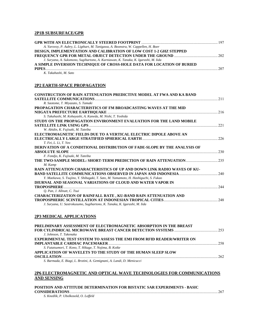# **2P1B SUBSURFACE/GPR**

| A. Yarovoy, P. Aubry, L. Ligthart, M. Tanigawa, A. Boonstra, W. Cappellen, H. Boer  |     |
|-------------------------------------------------------------------------------------|-----|
| <b>DESIGN, IMPLEMENTATION AND CALIBRATION OF LOW COST 1-2 GHZ STEPPED</b>           |     |
|                                                                                     |     |
| J. Suryana, A. Suksmono, Sugihartono, A. Kurniawan, K. Tanaka, K. Igarashi, M. Iida |     |
| A SIMPLE INVERSION TECHNIQUE OF CROSS-HOLE DATA FOR LOCATION OF BURIED              |     |
| PIPES <b>DESIGNATION</b>                                                            | 207 |

*K. Takahashi, M. Sato* 

#### **2P2 EARTH-SPACE PROPAGATION**

| <b>CONSTRUCTION OF RAIN ATTENUATION PREDICTIVE MODEL AT FWA AND KA BAND</b>                                                                                                        |      |
|------------------------------------------------------------------------------------------------------------------------------------------------------------------------------------|------|
|                                                                                                                                                                                    | 2.11 |
| R. Saotome, T. Miyazato, S. Tamaki                                                                                                                                                 |      |
| PROPAGATION CHARACTERISTICS OF FM BROADCASTING WAVES AT THE MID                                                                                                                    |      |
|                                                                                                                                                                                    |      |
| S. Takahashi, M. Kobayashi, A. Kaneda, M. Nishi, T. Yoshida                                                                                                                        |      |
| STUDY ON THE PROPAGATION ENVIRONMENT EVALUATION FOR THE LAND MOBILE                                                                                                                |      |
|                                                                                                                                                                                    | 22.1 |
| W. Abidin, K. Fujisaki, M. Tateiba                                                                                                                                                 |      |
| ELECTROMAGNETIC FIELDS DUE TO A VERTICAL ELECTRIC DIPOLE ABOVE AN                                                                                                                  |      |
|                                                                                                                                                                                    | 226  |
| T. Fei. L. Li. T. Yeo                                                                                                                                                              |      |
| DERIVATION OF A CONDITIONAL DISTRIBUTION OF FADE-SLOPE BY THE ANALYSIS OF                                                                                                          |      |
| <b>ABSOLUTE SLOPE</b>                                                                                                                                                              | 230  |
| F. Fondjo, K. Fujisaki, M. Tateiba                                                                                                                                                 |      |
|                                                                                                                                                                                    |      |
| M. Kamp                                                                                                                                                                            |      |
| RAIN ATTENUATION CHARACTERISTICS OF UP AND DOWN LINK RADIO WAVES OF KU-                                                                                                            |      |
|                                                                                                                                                                                    |      |
| Y. Maekawa, S. Tsujino, Y. Shibagaki, T. Sato, M. Yamamoto, H. Hashiguchi, S. Fukao                                                                                                |      |
| DIURNAL AND SEASONAL VARIATIONS OF CLOUD AND WATER VAPOR IN                                                                                                                        |      |
| <b>TROPOSPHERE</b>                                                                                                                                                                 | 244  |
| O. Pan, J. Allnutt, C. Tsui                                                                                                                                                        |      |
| <b>CHARACTERIZATION OF RAINFALL RATE, KU-BAND RAIN ATTENUATION AND</b>                                                                                                             |      |
| <b>TROPOSPHERIC SCINTILLATION AT INDONESIAN TROPICAL CITIES.</b><br>and a complete the contract of the complete of the complete of the complete of the complete of the complete of | 248  |
| J. Suryana, U. Sastrokusumo, Sugihartono, K. Tanaka, K. Igarashi, M. Iida                                                                                                          |      |

#### **2P3 MEDICAL APPLICATIONS**

| PRELIMINARY ASSESSMENT OF ELECTROMAGNETIC ABSORPTION IN THE BREAST           |     |
|------------------------------------------------------------------------------|-----|
|                                                                              |     |
| J. Johnson, T. Takenaka                                                      |     |
| <b>EXPERIMENTAL TEST SYSTEM TO ASSESS THE EMI FROM RFID READER/WRITER ON</b> |     |
|                                                                              |     |
| S. Futatsumori, T. Kono, T. Hikage, T. Nojima, B. Koike                      |     |
| APPLICATION OF WAVELETS TO THE STUDY OF THE HUMAN SLEEP SLOW                 |     |
|                                                                              | 262 |
| S. Barmada, E. Biagi, L. Brotini, A. Gemignani, A. Landi, D. Menicucci       |     |

# **2P6 ELECTROMAGNETIC AND OPTICAL WAVE TECHNOLOGIES FOR COMMUNICATIONS AND SENSING**

| POSITION AND ATTITUDE DETERMINATION FOR BISTATIC SAR EXPERIMENTS - BASIC |              |
|--------------------------------------------------------------------------|--------------|
| <b>CONSIDERATIONS</b>                                                    | $\ldots$ 267 |

*S. Knedlik, P. Ubolkosold, O. Loffeld*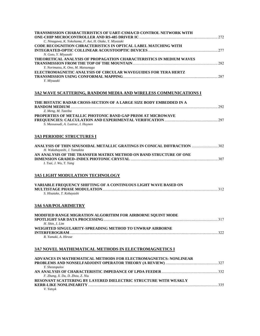| TRANSMISSION CHARACTERISTICS OF UART-CSMA/CD CONTROL NETWORK WITH                                                |     |
|------------------------------------------------------------------------------------------------------------------|-----|
| C. Ninagawa, K. Yokohama, F. Aoi, H. Otake, Y. Miyazaki                                                          |     |
| CODE RECOGNITION CHRACTERISTICS IN OPTICAL LABEL MATCHING WITH<br>N. Goto, Y. Miyazaki                           |     |
| THEORETICAL ANALYSIS OF PROPAGATION CHARACTERISTICS IN MEDIUM WAVES                                              |     |
| Y. Norimatsu, K. Ono, M. Matsunaga                                                                               |     |
| ELECTROMAGNETIC ANALYSIS OF CIRCULAR WAVEGUIDES FOR TERA HERTZ<br>Y. Miyazaki                                    |     |
| 3A2 WAVE SCATTERING, RANDOM MEDIA AND WIRELESS COMMUNICATIONS I                                                  |     |
| THE BISTATIC RADAR CROSS-SECTION OF A LARGE SIZE BODY EMBEDDED IN A<br>$\sim$ 292                                |     |
| Z. Meng, M. Tateiba                                                                                              |     |
| PROPERTIES OF METALLIC PHOTONIC BAND GAP PRISM AT MICROWAVE<br>S. Massaoudi, A. Lustrac, I. Huynen               |     |
| <b>3A3 PERIODIC STRUCTURES I</b>                                                                                 |     |
| ANALYSIS OF THIN SINUSOIDAL METALLIC GRATINGS IN CONICAL DIFFRACTION  302<br>H. Wakabayashi, J. Yamakita         |     |
| AN ANALYSIS OF THE TRANSFER MATRIX METHOD ON BAND STRUCTURE OF ONE<br>I. Tsai, J. Wu, T. Yang                    |     |
| <b>3A5 LIGHT MODULATION TECHNOLOGY</b>                                                                           |     |
| VARIABLE FREQUENCY SHIFTING OF A CONTINUOUS LIGHT WAVE BASED ON<br>S. Hisatake, T. Kobayashi                     |     |
| <b>3A6 SAR/POLARIMETRY</b>                                                                                       |     |
| MODIFIED RANGE MIGRATION ALGORITHM FOR AIRBORNE SQUINT MODE<br>SPOTLIGHT SAR DATA PROCESSING.<br>H. Shin, J. Lim | 317 |
| WEIGHTED SINGULARITY-SPREADING METHOD TO UNWRAP AIRBORNE<br>R. Yamaki, A. Hirose                                 |     |
| 3A7 NOVEL MATHEMATICAL METHODS IN ELECTROMAGNETICS I                                                             |     |
|                                                                                                                  |     |
| ADVANCES IN MATHEMATICAL METHODS FOR ELECTROMAGNETICS: NONLINEAR<br>Y. Shestopalov                               |     |
| F. Zhang, X. Du, D. Zhou, Z. Niu                                                                                 |     |
| RESONANT SCATTERING BY LAYERED DIELECTRIC STRUCTURE WITH WEAKLY<br>V. Yatsyk                                     |     |
|                                                                                                                  |     |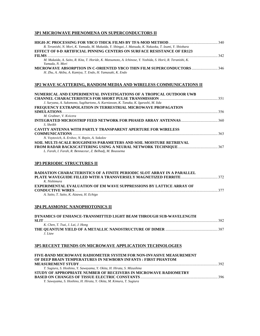# **3P1 MICROWAVE PHENOMENA ON SUPERCONDUCTORS II**

| R. Teranishi, N. Mori, K. Yamada, M. Mukaida, Y. Shingai, J. Matsuda, K. Nakaoka, T. Izumi, Y. Shiohara                        |     |
|--------------------------------------------------------------------------------------------------------------------------------|-----|
| <b>EFFECT OF 0-D ARTIFICIAL PINNING CENTERS ON SURFACE RESISTANCE OF ER123</b>                                                 |     |
| <b>FILMS</b>                                                                                                                   | 342 |
| M. Mukaida, A. Saito, R. Kita, T. Horide, K. Matsumoto, A. Ichinose, Y. Yoshida, S. Horii, R. Teranishi, K.<br>Yamada, N. Mori |     |
| <b>MICROWAVE ABSORPTION IN C-ORIENTED YBCO THIN FILM SUPERCONDUCTORS 346</b>                                                   |     |
| H. Zhu, A. Akiba, A. Kamiya, T. Endo, H. Yamasaki, K. Endo                                                                     |     |
| NUMERICAL AND EXPERIMENTAL INVESTIGATIONS OF A TROPICAL OUTDOOR UWB                                                            |     |
|                                                                                                                                | 351 |
| J. Suryana, A. Suksmono, Sugihartono, A. Kurniawan, K. Tanaka, K. Igarashi, M. Iida                                            |     |
| FREQUENCY EXTRAPOLATION IN TERRESTRIAL MICROWAVE PROPAGATION                                                                   |     |
| <b>SIMULATIONS</b>                                                                                                             | 356 |
| M. Grabner, V. Kvicera                                                                                                         |     |
| S. Sheikh                                                                                                                      | 360 |
| <b>CAVITY ANTENNA WITH PARTLY TRANSPARENT APERTURE FOR WIRELESS</b>                                                            |     |

| N. Voytovich, A. Ershov, N. Repin, A. Sokolov                            |  |
|--------------------------------------------------------------------------|--|
| <b>SOIL MULTI-SCALE ROUGHNESS PARAMETERS AND SOIL MOISTURE RETRIEVAL</b> |  |
|                                                                          |  |
| L. Farah, I. Farah, R. Bennaceur, Z. Belhadj, M. Boussema                |  |

# **3P3 PERIODIC STRUCTURES II**

| <b>RADIATION CHARACTERISTICS OF A FINITE PERIODIC SLOT ARRAY IN A PARALLEL</b> |     |
|--------------------------------------------------------------------------------|-----|
|                                                                                |     |
| K Nishimura                                                                    |     |
| <b>EXPERIMENTAL EVALUATION OF EM WAVE SUPPRESSIONS BY LATTICE ARRAY OF</b>     |     |
|                                                                                | 377 |
| A. Saito, T. Saito, K. Aizawa, H. Echigo                                       |     |

# **3P4 PLASMONIC NANOPHOTONICS II**

| DYNAMICS OF ENHANCE-TRANSMITTED LIGHT BEAM THROUGH SUB-WAVELENGTH |     |
|-------------------------------------------------------------------|-----|
|                                                                   | 382 |
| K. Chen, T. Tsai, J. Lai, J. Hong                                 |     |
|                                                                   |     |
| $I$ Liaw                                                          |     |
|                                                                   |     |

# **3P5 RECENT TRENDS ON MICROWAVE APPLICATION TECHNOLOGIES**

| FIVE-BAND MICROWAVE RADIOMETER SYSTEM FOR NON-INVASIVE MEASUREMENT     |  |
|------------------------------------------------------------------------|--|
| OF DEEP BRAIN TEMPERATURES IN NEWBORN INFANTS: FIRST PHANTOM           |  |
|                                                                        |  |
| T. Sugiura, S. Hoshino, Y. Sawayama, Y. Okita, H. Hirata, S. Mizushina |  |
| STUDY OF APPROPRIATE NUMBER OF RECEIVERS IN MICROWAVE RADIOMETRY       |  |
|                                                                        |  |
| Y. Sawayama, S. Hoshino, H. Hirata, Y. Okita, M. Kimura, T. Sugiura    |  |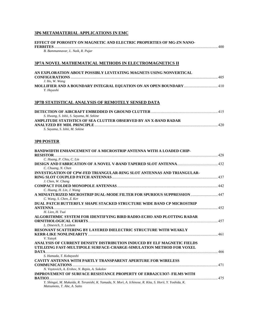# **3P6 METAMATERIAL APPLICATIONS IN EMC**

| EFFECT OF POROSITY ON MAGNETIC AND ELECTRIC PROPERTIES OF MG-ZN NANO-<br>B. Bammannavar, L. Naik, R. Pujar                                                                   |  |
|------------------------------------------------------------------------------------------------------------------------------------------------------------------------------|--|
| 3P7A NOVEL MATHEMATICAL METHODS IN ELECTROMAGNETICS II                                                                                                                       |  |
| AN EXPLORATION ABOUT POSSIBLY LEVITATING MAGNETS USING NONVERTICAL<br>J. Ho, W. Wang                                                                                         |  |
| Y. Hayashi                                                                                                                                                                   |  |
| 3P7B STATISTICAL ANALYSIS OF REMOTELY SENSED DATA                                                                                                                            |  |
| S. Hwang, S. Ishii, S. Sayama, M. Sekine                                                                                                                                     |  |
| AMPLITUDE STATISTICS OF SEA CLUTTER OBSERVED BY AN X-BAND RADAR<br>S. Sayama, S. Ishii, M. Sekine                                                                            |  |
| <b>3P8 POSTER</b>                                                                                                                                                            |  |
| BANDWIDTH ENHANCEMENT OF A MICROSTRIP ANTENNA WITH A LOADED CHIP-                                                                                                            |  |
| C. Huang, P. Chiu, C. Lin<br>C. Chuang, N. Chen                                                                                                                              |  |
| INVESTIGATION OF CPW-FED TRIANGULAR-RING SLOT ANTENNAS AND TRIANGULAR-<br>J. Chen, W. Chang                                                                                  |  |
| C. Huang, H. Lin, J. Wang                                                                                                                                                    |  |
| A MINIATURIZED MICROSTRIP DUAL-MODE FILTER FOR SPURIOUS SUPPRESSION  447<br>C. Wang, S. Chen, Z. Ker<br>DUAL PATCH BUTTERFLY SHAPE STACKED STRUCTURE WIDE BAND CP MICROSTRIP |  |
| H. Lien. H. Tsai<br>ALGORITHMIC SYSTEM FOR IDENTIFYING BIRD RADIO-ECHO AND PLOTTING RADAR                                                                                    |  |
| <b>ORNITHOLOGICAL CHARTS</b><br>L. Dinevich, Y. Leshem                                                                                                                       |  |
| RESONANT SCATTERING BY LAYERED DIELECTRIC STRUCTURE WITH WEAKLY<br>V. Yatsyk                                                                                                 |  |
| ANALYSIS OF CURRENT DENSITY DISTRIBUTION INDUCED BY ELF MAGNETIC FIELDS<br>UTILIZING FAST-MULTIPOLE SURFACE-CHARGE-SIMULATION METHOD FOR VOXEL                               |  |
| S. Hamada, T. Kobayashi<br>CAVITY ANTENNA WITH PARTLY TRANSPARENT APERTURE FOR WIRELESS                                                                                      |  |
| N. Voytovich, A. Ershov, N. Repin, A. Sokolov<br><b>IMPROVEMENT OF SURFACE RESISTANCE PROPERTY OF ERBA2CU3O7- FILMS WITH</b>                                                 |  |
| Y. Shingai, M. Mukaida, R. Teranishi, K. Yamada, N. Mori, A. Ichinose, R. Kita, S. Horii, Y. Yoshida, K.<br>Matsumoto, T. Abe, A. Saito                                      |  |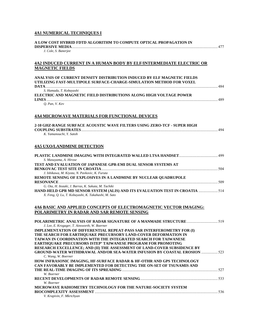# **4A1 NUMERICAL TECHNIQUES I**

| A LOW COST HYBRID FDTD ALGORITHM TO COMPUTE OPTICAL PROPAGATION IN<br><b>DISPERSIVE MEDIA</b>                                                  | . 477 |
|------------------------------------------------------------------------------------------------------------------------------------------------|-------|
| J. Cole, S. Banerjee                                                                                                                           |       |
| 4A2 INDUCED CURRENT IN A HUMAN BODY BY ELF/INTERMEDIATE ELECTRIC OR                                                                            |       |
| <b>MAGNETIC FIELDS</b>                                                                                                                         |       |
| ANALYSIS OF CURRENT DENSITY DISTRIBUTION INDUCED BY ELF MAGNETIC FIELDS<br>UTILIZING FAST-MULTIPOLE SURFACE-CHARGE-SIMULATION METHOD FOR VOXEL |       |
|                                                                                                                                                |       |
| S. Hamada, T. Kobayashi<br>ELECTRIC AND MAGNETIC FIELD DISTRIBUTIONS ALONG HIGH VOLTAGE POWER                                                  | .489  |
| Q. Pan, V. Kev                                                                                                                                 |       |
| <b>4A4 MICROWAVE MATERIALS FOR FUNCTIONAL DEVICES</b>                                                                                          |       |
| 2-10 GHZ-RANGE SURFACE ACOUSTIC WAVE FILTERS USING ZERO-TCF - SUPER HIGH                                                                       |       |
| K. Yamanouchi, Y. Satoh                                                                                                                        |       |
| <b>4A5 UXO/LANDMINE DETECTION</b>                                                                                                              |       |
| S. Masuyama, A. Hirose                                                                                                                         |       |
| TEST AND EVALUATION OF JAPANESE GPR-EMI DUAL SENSOR SYSTEMS AT                                                                                 |       |
| J. Ishikawa, M. Kiyota, N. Pavkovic, K. Furuta<br>REMOTE SENSING OF EXPLOSIVES IN A LANDMINE BY NUCLEAR QUADRUPOLE                             |       |
| G. Ota, H. Itozaki, J. Barras, K. Sakuta, M. Tachiki                                                                                           |       |
| HAND-HELD GPR MD SENSOR SYSTEM (ALIS) AND ITS EVALUATION TEST IN CROATIA  514<br>X. Feng, Q. Lu, T. Kobayashi, K. Takahashi, M. Sato           |       |
| <b>4A6 BASIC AND APPLIED CONCEPTS OF ELECTROMAGNETIC VECTOR IMAGING:</b>                                                                       |       |
| POLARIMETRY IN RADAR AND SAR REMOTE SENSING                                                                                                    |       |
| J. Lee, E. Krogager, T. Ainsworth, W. Boerner                                                                                                  |       |
| IMPLEMENTATION OF DIFFERENTIAL REPEAT-PASS SAR INTERFEROMETRY FOR (I)                                                                          |       |
| THE SEARCH FOR EARTHQUAKE PRECURSORY LAND-COVER DEFORMATION IN<br>TAIWAN IN COORDINATION WITH THE INTEGRATED SEARCH FOR TAIWANESE              |       |
| <b>EARTHQUAKE PRECURSORS ISTEP' TAIWANESE PROGRAM FOR PROMOTING</b>                                                                            |       |
| RESEARCH EXCELLENCE; AND (II) THE ASSESSMENT OF LAND-COVER SUBSIDENCE BY                                                                       |       |
| GROUND-WATER WITHDRAWAL AND/OR SEA-WATER INFUSION BY COASTAL EROSION  523<br>C. Wang, W. Boerner                                               |       |
| HOW INFRASONIC IMAGING, HF-SURFACE RADAR & HF-OTHR AND GPS TECHNOLOGY                                                                          |       |
| CAN FAVORABLY BE IMPLEMENTED FOR DETECTING THE ON-SET OF TSUNAMIS AND                                                                          |       |
| W. Boerner                                                                                                                                     |       |
|                                                                                                                                                |       |
| W. Boerner<br>MICROWAVE RADIOMETRY TECHNOLOGY FOR THE NATURE-SOCIETY SYSTEM                                                                    |       |
| V. Krapivin, F. Mkrtchyan                                                                                                                      |       |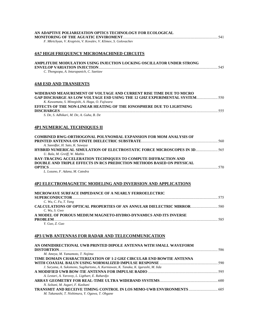| AN ADAPTIVE POLIARIZATION OPTICS TECHNOLOGY FOR ECOLOGICAL                                                                                             |     |
|--------------------------------------------------------------------------------------------------------------------------------------------------------|-----|
| F. Mkrtchyan, V. Krapivin, V. Kovalev, V. Klimov, S. Golovachev                                                                                        |     |
| <u>4A7 HIGH FREQUENCY MICROMACHINED CIRCUITS</u>                                                                                                       |     |
| AMPLITUDE MODULATION USING INJECTION LOCKING OSCILLATOR UNDER STRONG                                                                                   |     |
| C. Thongsopa, A. Intarapanich, C. Saetiaw                                                                                                              |     |
| 4A8 ESD AND TRANSIENTS                                                                                                                                 |     |
| WIDEBAND MEASUREMENT OF VOLTAGE AND CURRENT RISE TIME DUE TO MICRO<br><b>GAP DISCHARGE AS LOW VOLTAGE ESD USING THE 12 GHZ EXPERIMENTAL SYSTEM</b> 550 |     |
| K. Kawamata, S. Minegishi, A. Haga, O. Fujiwara<br>EFFECTS OF THE NON-LINEAR HEATING OF THE IONOSPHERE DUE TO LIGHTNING                                |     |
| S. De, S. Adhikari, M. De, A. Guha, B. De                                                                                                              |     |
| 4P1 NUMERICAL TECHNIQUES II                                                                                                                            |     |
| COMBINED RWG-ORTHOGONAL POLYNOMIAL EXPANSION FOR MOM ANALYSIS OF                                                                                       |     |
| A. Saeedfar, H. Sato, K. Sawaya<br>HYBRID NUMERICAL SIMULATION OF ELECTROSTATIC FORCE MICROSCOPES IN 3D<br>U. Bala, M. Greiff, W. Mathis               |     |
| RAY-TRACING ACCELERATION TECHNIQUES TO COMPUTE DIFFRACTION AND<br>DOUBLE AND TRIPLE EFFECTS IN RCS PREDICTION METHODS BASED ON PHYSICAL                |     |
| L. Lozano, F. Adana, M. Catedra                                                                                                                        |     |
| 4P2 ELECTROMAGNETIC MODELING AND INVERSION AND APPLICATIONS                                                                                            |     |
| MICROWAVE SURFACE IMPEDANCE OF A NEARLY FERROELECTRIC                                                                                                  |     |
| C. Wu, C. Fu, T. Yang                                                                                                                                  |     |
| C. Wu, S. Gwo<br>A MODEL OF POROUS MEDIUM MAGNETO-HYDRO-DYNAMICS AND ITS INVERSE                                                                       |     |
| <b>PROBLEM</b><br>Y. Guo, Z. Guo                                                                                                                       | 585 |
| 4P3 UWB ANTENNAS FOR RADAR AND TELECOMMUNICATION                                                                                                       |     |
| AN OMNIDIRECTIONAL UWB PRINTED DIPOLE ANTENNA WITH SMALL WAVEFORM                                                                                      |     |
| M. Ameya, M. Yamamoto, T. Nojima<br>TIME DOMAIN CHARACTERIZATION OF 1-2 GHZ CIRCULAR END BOWTIE ANTENNA                                                |     |
| J. Suryana, A. Suksmono, Sugihartono, A. Kurniawan, K. Tanaka, K. Igarashi, M. Iida                                                                    |     |
| A. Lestari, A. Yarovoy, L. Ligthart, E. Rahardjo                                                                                                       |     |
| N. Soltani, M. Asgari, F. Kashani                                                                                                                      |     |
| TRANSMIT AND RECEIVE TIMING CONTROL IN LOS MIMO-UWB ENVIRONMENTS  605                                                                                  |     |

*M. Takanashi, T. Nishimura, Y. Ogawa, T. Ohgane*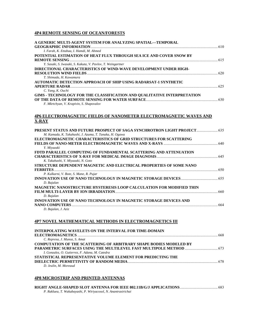#### **4P4 REMOTE SENSING OF OCEAN/FORESTS**

# **4P6 ELECTROMAGNETIC FIELDS OF NANOMETER ELECTROMAGNETIC WAVES AND X-RAY**

| M. Kamada, K. Takahashi, J. Azuma, T. Tanaka, H. Ogawa                      |      |
|-----------------------------------------------------------------------------|------|
| ELECTROMAGNETIC CHARACTERISTICS OF GRID STRUCTURES FOR SCATTERING           |      |
|                                                                             | 640  |
| Y. Miyazaki                                                                 |      |
| FDTD PARALLEL COMPUTING OF FUNDAMENTAL SCATTERING AND ATTENUATION           |      |
|                                                                             | 645  |
| K. Takahashi, Y. Miyazaki, N. Goto                                          |      |
| STRUCTURE DEPENDENT MAGNETIC AND ELECTRICAL PROPERTIES OF SOME NANO         |      |
| <b>FERRITES</b>                                                             | 650  |
| P. Kulkarni, V. Bote, S. Mane, R. Pujar                                     |      |
|                                                                             |      |
| D. Bajalan                                                                  |      |
| <b>MAGNETIC NANOSTRUCTURE HYSTERESIS LOOP CALCULATION FOR MODIFIED THIN</b> |      |
| FILM MULTI-LAYER BY ION IRRADIATION.                                        | -660 |
| D. Bajalan                                                                  |      |
| INNOVATION USE OF NANO TECHNOLOGY IN MAGNETIC STORAGE DEVICES AND           |      |
| <b>NANO COMPUTERS</b>                                                       | 664  |
| D. Bajalan, J. Aziz                                                         |      |
|                                                                             |      |

#### **4P7 NOVEL MATHEMATICAL METHODS IN ELECTROMAGNETICS III**

| <b>INTERPOLATING WAVELETS ON THE INTERVAL FOR TIME-DOMAIN</b>             |      |
|---------------------------------------------------------------------------|------|
|                                                                           | -668 |
| C. Represa, J. Munoz, S. Amat                                             |      |
| <b>COMPUTATION OF THE SCATTERING OF ARBITRARY SHAPE BODIES MODELED BY</b> |      |
|                                                                           |      |
| I. Gonzalez, O. Gutierrez, F. Adana, M. Catedra                           |      |
| STATISTICAL REPRESENTATIVE VOLUME ELEMENT FOR PREDICTING THE              |      |
|                                                                           |      |
| D. Jeulin, M. Moreaud                                                     |      |
|                                                                           |      |

#### **4P8 MICROSTRIP AND PRINTED ANTENNAS**

| 683. سيستنسببيسيسيسيسيسية RIGHT ANGLE-SHAPED SLOT ANTENNA FOR IEEE 802.11B/G/J APPLICATIONS |  |
|---------------------------------------------------------------------------------------------|--|
| P. Rakluea, T. Wakabayashi, P. Wiriyacosol, N. Anantrasirichai                              |  |